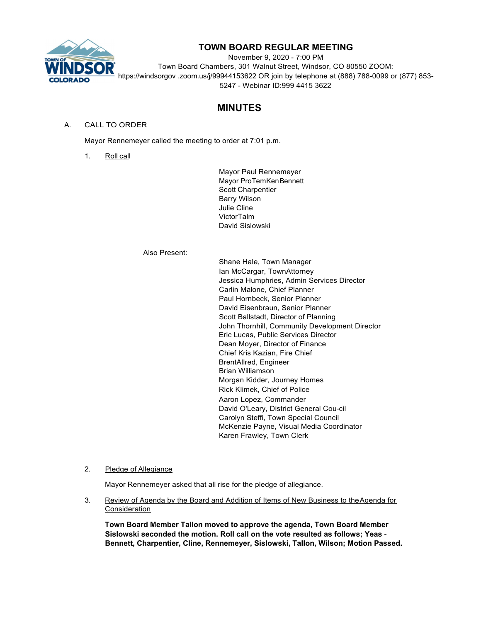

# **TOWN BOARD REGULAR MEETING**

November 9, 2020 - 7:00 PM Town Board Chambers, 301 Walnut Street, Windsor, CO 80550 ZOOM: https://windsorgov .zoom.us/j/99944153622 OR join by telephone at (888) 788-0099 or (877) 853- 5247 - Webinar ID:999 4415 3622

# **MINUTES**

## A. CALL TO ORDER

Mayor Rennemeyer called the meeting to order at 7:01 p.m.

1. Roll call

Mayor Paul Rennemeyer Mayor ProTemKen Bennett Scott Charpentier Barry Wilson Julie Cline VictorTalm David Sislowski

Also Present:

Shane Hale, Town Manager Ian McCargar, TownAttorney Jessica Humphries, Admin Services Director Carlin Malone, Chief Planner Paul Hornbeck, Senior Planner David Eisenbraun, Senior Planner Scott Ballstadt, Director of Planning John Thornhill, Community Development Director Eric Lucas, Public Services Director Dean Moyer, Director of Finance Chief Kris Kazian, Fire Chief BrentAllred, Engineer Brian Williamson Morgan Kidder, Journey Homes Rick Klimek, Chief of Police Aaron Lopez, Commander David O'Leary, District General Cou-cil Carolyn Steffi, Town Special Council McKenzie Payne, Visual Media Coordinator Karen Frawley, Town Clerk

## 2. Pledge of Allegiance

Mayor Rennemeyer asked that all rise for the pledge of allegiance.

3. Review of Agenda by the Board and Addition of Items of New Business to theAgenda for **Consideration** 

**Town Board Member Tallon moved to approve the agenda, Town Board Member Sislowski seconded the motion. Roll call on the vote resulted as follows; Yeas** - **Bennett, Charpentier, Cline, Rennemeyer, Sislowski, Tallon, Wilson; Motion Passed.**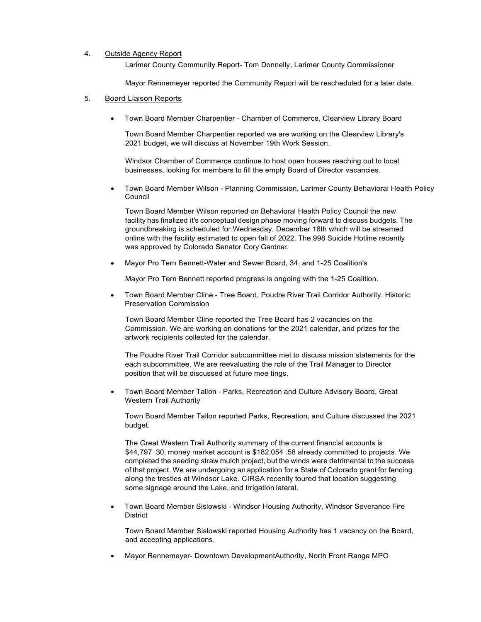#### 4. Outside Agency Report

Larimer County Community Report- Tom Donnelly, Larimer County Commissioner

Mayor Rennemeyer reported the Community Report will be rescheduled for a later date.

#### 5. Board Liaison Reports

• Town Board Member Charpentier - Chamber of Commerce, Clearview Library Board

Town Board Member Charpentier reported we are working on the Clearview Library's 2021 budget, we will discuss at November 19th Work Session.

Windsor Chamber of Commerce continue to host open houses reaching out to local businesses, looking for members to fill the empty Board of Director vacancies.

• Town Board Member Wilson - Planning Commission, Larimer County Behavioral Health Policy Council

Town Board Member Wilson reported on Behavioral Health Policy Council the new facility has finalized it's conceptual design phase moving forward to discuss budgets. The groundbreaking is scheduled for Wednesday, December 16th which will be streamed online with the facility estimated to open fall of 2022. The 998 Suicide Hotline recently was approved by Colorado Senator Cory Gardner.

• Mayor Pro Tern Bennett-Water and Sewer Board, 34, and 1-25 Coalition's

Mayor Pro Tern Bennett reported progress is ongoing with the 1-25 Coalition.

• Town Board Member Cline - Tree Board, Poudre River Trail Corridor Authority, Historic Preservation Commission

Town Board Member Cline reported the Tree Board has 2 vacancies on the Commission. We are working on donations for the 2021 calendar, and prizes for the artwork recipients collected for the calendar.

The Poudre River Trail Corridor subcommittee met to discuss mission statements for the each subcommittee. We are reevaluating the role of the Trail Manager to Director position that will be discussed at future mee tings.

• Town Board Member Tallon - Parks, Recreation and Culture Advisory Board, Great Western Trail Authority

Town Board Member Tallon reported Parks, Recreation, and Culture discussed the 2021 budget.

The Great Western Trail Authority summary of the current financial accounts is \$44,797 .30, money market account is \$182,054 .58 already committed to projects. We completed the seeding straw mulch project, but the winds were detrimental to the success of that project. We are undergoing an application for a State of Colorado grant for fencing along the trestles at Windsor Lake. CIRSA recently toured that location suggesting some signage around the Lake, and Irrigation lateral.

• Town Board Member Sislowski - Windsor Housing Authority, Windsor Severance Fire **District** 

Town Board Member Sislowski reported Housing Authority has 1 vacancy on the Board, and accepting applications.

• Mayor Rennemeyer- Downtown DevelopmentAuthority, North Front Range MPO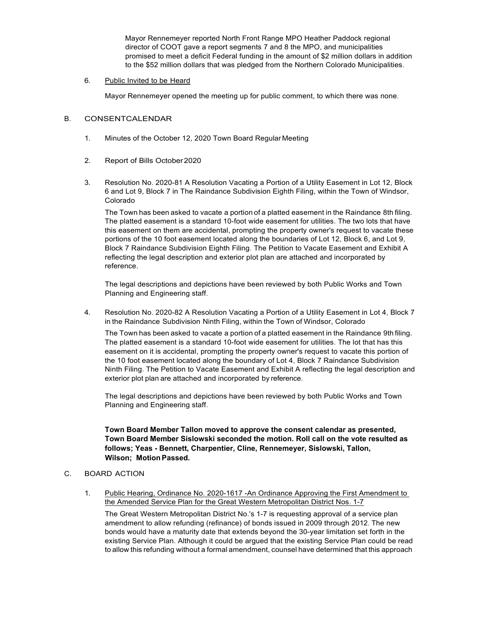Mayor Rennemeyer reported North Front Range MPO Heather Paddock regional director of COOT gave a report segments 7 and 8 the MPO, and municipalities promised to meet a deficit Federal funding in the amount of \$2 million dollars in addition to the \$52 million dollars that was pledged from the Northern Colorado Municipalities.

6. Public Invited to be Heard

Mayor Rennemeyer opened the meeting up for public comment, to which there was none.

## B. CONSENTCALENDAR

- 1. Minutes of the October 12, 2020 Town Board Regular Meeting
- 2. Report of Bills October2020
- 3. Resolution No. 2020-81 A Resolution Vacating a Portion of a Utility Easement in Lot 12, Block 6 and Lot 9, Block 7 in The Raindance Subdivision Eighth Filing, within the Town of Windsor, Colorado

The Town has been asked to vacate a portion of a platted easement in the Raindance 8th filing. The platted easement is a standard 10-foot wide easement for utilities. The two lots that have this easement on them are accidental, prompting the property owner's request to vacate these portions of the 10 foot easement located along the boundaries of Lot 12, Block 6, and Lot 9, Block 7 Raindance Subdivision Eighth Filing. The Petition to Vacate Easement and Exhibit A reflecting the legal description and exterior plot plan are attached and incorporated by reference.

The legal descriptions and depictions have been reviewed by both Public Works and Town Planning and Engineering staff.

4. Resolution No. 2020-82 A Resolution Vacating a Portion of a Utility Easement in Lot 4, Block 7 in the Raindance Subdivision Ninth Filing, within the Town of Windsor, Colorado

The Town has been asked to vacate a portion of a platted easement in the Raindance 9th filing. The platted easement is a standard 10-foot wide easement for utilities. The lot that has this easement on it is accidental, prompting the property owner's request to vacate this portion of the 10 foot easement located along the boundary of Lot 4, Block 7 Raindance Subdivision Ninth Filing. The Petition to Vacate Easement and Exhibit A reflecting the legal description and exterior plot plan are attached and incorporated by reference.

The legal descriptions and depictions have been reviewed by both Public Works and Town Planning and Engineering staff.

**Town Board Member Tallon moved to approve the consent calendar as presented, Town Board Member Sislowski seconded the motion. Roll call on the vote resulted as follows; Yeas - Bennett, Charpentier, Cline, Rennemeyer, Sislowski, Tallon, Wilson; MotionPassed.**

## C. BOARD ACTION

1. Public Hearing, Ordinance No. 2020-1617 -An Ordinance Approving the First Amendment to the Amended Service Plan for the Great Western Metropolitan District Nos. 1-7

The Great Western Metropolitan District No.'s 1-7 is requesting approval of a service plan amendment to allow refunding (refinance) of bonds issued in 2009 through 2012. The new bonds would have a maturity date that extends beyond the 30-year limitation set forth in the existing Service Plan. Although it could be argued that the existing Service Plan could be read to allow this refunding without a formal amendment, counsel have determined that this approach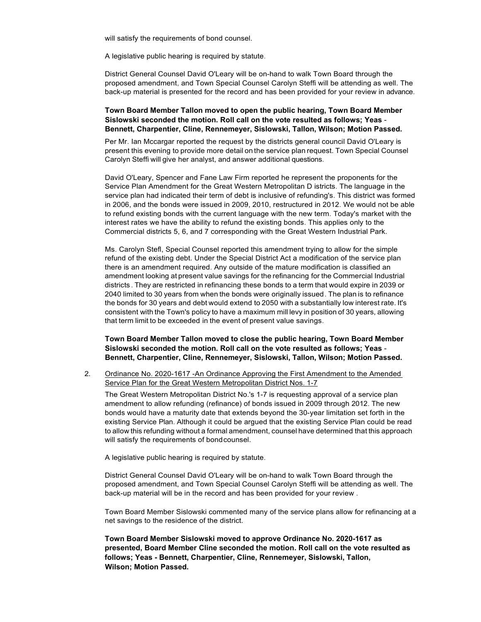will satisfy the requirements of bond counsel.

A legislative public hearing is required by statute.

District General Counsel David O'Leary will be on-hand to walk Town Board through the proposed amendment, and Town Special Counsel Carolyn Steffi will be attending as well. The back-up material is presented for the record and has been provided for your review in advance.

### **Town Board Member Tallon moved to open the public hearing, Town Board Member Sislowski seconded the motion. Roll call on the vote resulted as follows; Yeas** - **Bennett, Charpentier, Cline, Rennemeyer, Sislowski, Tallon, Wilson; Motion Passed.**

Per Mr. Ian Mccargar reported the request by the districts general council David O'Leary is present this evening to provide more detail on the service plan request. Town Special Counsel Carolyn Steffi will give her analyst, and answer additional questions.

David O'Leary, Spencer and Fane Law Firm reported he represent the proponents for the Service Plan Amendment for the Great Western Metropolitan D istricts. The language in the service plan had indicated their term of debt is inclusive of refunding's. This district was formed in 2006, and the bonds were issued in 2009, 2010, restructured in 2012. We would not be able to refund existing bonds with the current language with the new term. Today's market with the interest rates we have the ability to refund the existing bonds. This applies only to the Commercial districts 5, 6, and 7 corresponding with the Great Western Industrial Park.

Ms. Carolyn Stefl, Special Counsel reported this amendment trying to allow for the simple refund of the existing debt. Under the Special District Act a modification of the service plan there is an amendment required. Any outside of the mature modification is classified an amendment looking at present value savings for the refinancing for the Commercial Industrial districts . They are restricted in refinancing these bonds to a term that would expire in 2039 or 2040 limited to 30 years from when the bonds were originally issued. The plan is to refinance the bonds for 30 years and debt would extend to 2050 with a substantially low interest rate. It's consistent with the Town's policy to have a maximum mill levy in position of 30 years, allowing that term limit to be exceeded in the event of present value savings.

**Town Board Member Tallon moved to close the public hearing, Town Board Member Sislowski seconded the motion. Roll call on the vote resulted as follows; Yeas** - **Bennett, Charpentier, Cline, Rennemeyer, Sislowski, Tallon, Wilson; Motion Passed.**

2. Ordinance No. 2020-1617 -An Ordinance Approving the First Amendment to the Amended Service Plan for the Great Western Metropolitan District Nos. 1-7

The Great Western Metropolitan District No.'s 1-7 is requesting approval of a service plan amendment to allow refunding (refinance) of bonds issued in 2009 through 2012. The new bonds would have a maturity date that extends beyond the 30-year limitation set forth in the existing Service Plan. Although it could be argued that the existing Service Plan could be read to allow this refunding without a formal amendment, counsel have determined that this approach will satisfy the requirements of bondcounsel.

A legislative public hearing is required by statute.

District General Counsel David O'Leary will be on-hand to walk Town Board through the proposed amendment, and Town Special Counsel Carolyn Steffi will be attending as well. The back-up material will be in the record and has been provided for your review .

Town Board Member Sislowski commented many of the service plans allow for refinancing at a net savings to the residence of the district.

**Town Board Member Sislowski moved to approve Ordinance No. 2020-1617 as presented, Board Member Cline seconded the motion. Roll call on the vote resulted as follows; Yeas - Bennett, Charpentier, Cline, Rennemeyer, Sislowski, Tallon, Wilson; Motion Passed.**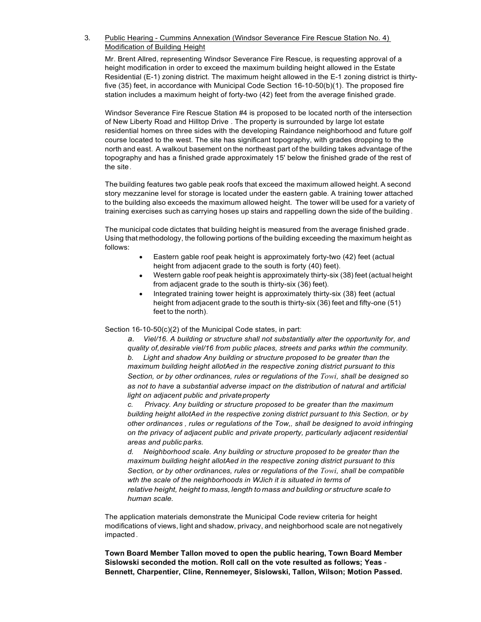3. Public Hearing - Cummins Annexation (Windsor Severance Fire Rescue Station No. 4) Modification of Building Height

Mr. Brent Allred, representing Windsor Severance Fire Rescue, is requesting approval of a height modification in order to exceed the maximum building height allowed in the Estate Residential (E-1) zoning district. The maximum height allowed in the E-1 zoning district is thirtyfive (35) feet, in accordance with Municipal Code Section 16-10-50(b)(1). The proposed fire station includes a maximum height of forty-two (42) feet from the average finished grade.

Windsor Severance Fire Rescue Station #4 is proposed to be located north of the intersection of New Liberty Road and Hilltop Drive . The property is surrounded by large lot estate residential homes on three sides with the developing Raindance neighborhood and future golf course located to the west. The site has significant topography, with grades dropping to the north and east. A walkout basement on the northeast part of the building takes advantage of the topography and has a finished grade approximately 15' below the finished grade of the rest of the site.

The building features two gable peak roofs that exceed the maximum allowed height.A second story mezzanine level for storage is located under the eastern gable. A training tower attached to the building also exceeds the maximum allowed height. The tower will be used for a variety of training exercises such as carrying hoses up stairs and rappelling down the side of the building .

The municipal code dictates that building height is measured from the average finished grade. Using that methodology, the following portions of the building exceeding the maximum height as follows:

- Eastern gable roof peak height is approximately forty-two (42) feet (actual height from adjacent grade to the south is forty (40) feet).
- Western gable roof peak height is approximately thirty-six (38) feet (actual height from adjacent grade to the south is thirty-six (36) feet).
- Integrated training tower height is approximately thirty-six (38) feet (actual height from adjacent grade to the south is thirty-six (36) feet and fifty-one (51) feet to the north).

Section 16-10-50(c)(2) of the Municipal Code states, in part:

*a. Viel/16. A building or structure shall not substantially alter the opportunity for, and quality of,desirable viel/16 from public places, streets and parks wthin the community. b. Light and shadow Any building or structure proposed to be greater than the maximum building height allotAed in the respective zoning district pursuant to this Section, or by other ordinances, rules or regulations of the Towi, shall be designed so as not to have* a *substantial adverse impact on the distribution of natural and artificial light on adjacent public and privateproperty*

*c. Privacy. Any building or structure proposed to be greater than the maximum building height allotAed in the respective zoning district pursuant to this Section, or by other ordinances , rules or regulations of the Tow,, shall be designed to avoid infringing on the privacy of adjacent public and private property, particularly adjacent residential areas and public parks.*

*d. Neighborhood scale. Any building or structure proposed to be greater than the maximum building height allotAed in the respective zoning district pursuant to this Section, or by other ordinances, rules or regulations of the Towi, shall be compatible wth the scale of the neighborhoods in WJich it is situated in terms of relative height, height to mass, length to mass and building or structure scale to human scale.*

The application materials demonstrate the Municipal Code review criteria for height modifications of views, light and shadow, privacy, and neighborhood scale are not negatively impacted .

**Town Board Member Tallon moved to open the public hearing, Town Board Member Sislowski seconded the motion. Roll call on the vote resulted as follows; Yeas** - **Bennett, Charpentier, Cline, Rennemeyer, Sislowski, Tallon, Wilson; Motion Passed.**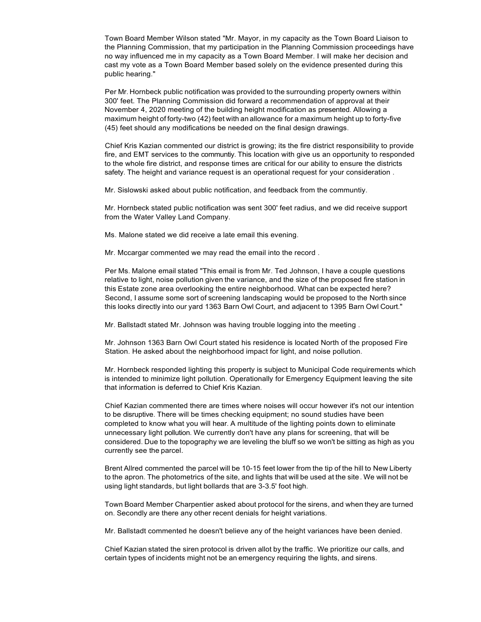Town Board Member Wilson stated "Mr. Mayor, in my capacity as the Town Board Liaison to the Planning Commission, that my participation in the Planning Commission proceedings have no way influenced me in my capacity as a Town Board Member. I will make her decision and cast my vote as a Town Board Member based solely on the evidence presented during this public hearing."

Per Mr. Hornbeck public notification was provided to the surrounding property owners within 300' feet. The Planning Commission did forward a recommendation of approval at their November 4, 2020 meeting of the building height modification as presented. Allowing a maximum height of forty-two (42) feet with an allowance for a maximum height up to forty-five (45) feet should any modifications be needed on the final design drawings.

Chief Kris Kazian commented our district is growing; its the fire district responsibility to provide fire, and EMT services to the communtiy. This location with give us an opportunity to responded to the whole fire district, and response times are critical for our ability to ensure the districts safety. The height and variance request is an operational request for your consideration .

Mr. Sislowski asked about public notification, and feedback from the communtiy.

Mr. Hornbeck stated public notification was sent 300' feet radius, and we did receive support from the Water Valley Land Company.

Ms. Malone stated we did receive a late email this evening.

Mr. Mccargar commented we may read the email into the record .

Per Ms. Malone email stated "This email is from Mr. Ted Johnson, I have a couple questions relative to light, noise pollution given the variance, and the size of the proposed fire station in this Estate zone area overlooking the entire neighborhood. What can be expected here? Second, I assume some sort of screening landscaping would be proposed to the North since this looks directly into our yard 1363 Barn Owl Court, and adjacent to 1395 Barn Owl Court."

Mr. Ballstadt stated Mr. Johnson was having trouble logging into the meeting .

Mr. Johnson 1363 Barn Owl Court stated his residence is located North of the proposed Fire Station. He asked about the neighborhood impact for light, and noise pollution.

Mr. Hornbeck responded lighting this property is subject to Municipal Code requirements which is intended to minimize light pollution. Operationally for Emergency Equipment leaving the site that information is deferred to Chief Kris Kazian.

Chief Kazian commented there are times where noises will occur however it's not our intention to be disruptive. There will be times checking equipment; no sound studies have been completed to know what you will hear. A multitude of the lighting points down to eliminate unnecessary light pollution. We currently don't have any plans for screening, that will be considered. Due to the topography we are leveling the bluff so we won't be sitting as high as you currently see the parcel.

Brent Allred commented the parcel will be 10-15 feet lower from the tip of the hill to New Liberty to the apron. The photometrics of the site, and lights that will be used at the site. We will not be using light standards, but light bollards that are 3-3.5' foot high.

Town Board Member Charpentier asked about protocol for the sirens, and when they are turned on. Secondly are there any other recent denials for height variations.

Mr. Ballstadt commented he doesn't believe any of the height variances have been denied.

Chief Kazian stated the siren protocol is driven allot by the traffic. We prioritize our calls, and certain types of incidents might not be an emergency requiring the lights, and sirens.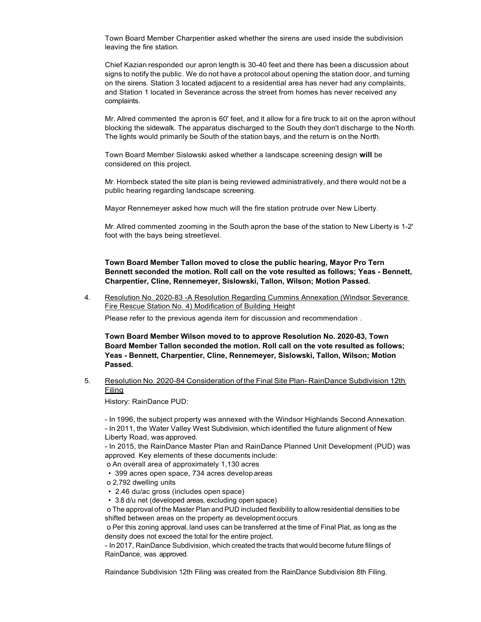Town Board Member Charpentier asked whether the sirens are used inside the subdivision leaving the fire station.

Chief Kazian responded our apron length is 30-40 feet and there has been a discussion about signs to notify the public. We do not have a protocol about opening the station door, and turning on the sirens. Station 3 located adjacent to a residential area has never had any complaints, and Station 1 located in Severance across the street from homes has never received any complaints.

Mr.Allred commented the apron is 60' feet, and it allow for a fire truck to sit on the apron without blocking the sidewalk. The apparatus discharged to the South they don't discharge to the North. The lights would primarily be South of the station bays, and the return is on the North.

Town Board Member Sislowski asked whether a landscape screening design **will** be considered on this project.

Mr. Hornbeck stated the site plan is being reviewed administratively, and there would not be a public hearing regarding landscape screening.

Mayor Rennemeyer asked how much will the fire station protrude over New Liberty.

Mr. Allred commented zooming in the South apron the base of the station to New Liberty is 1-2' foot with the bays being streetlevel.

**Town Board Member Tallon moved to close the public hearing, Mayor Pro Tern Bennett seconded the motion. Roll call on the vote resulted as follows; Yeas - Bennett, Charpentier, Cline, Rennemeyer, Sislowski, Tallon, Wilson; Motion Passed.**

4. Resolution No. 2020-83 -A Resolution Regarding Cummins Annexation (Windsor Severance Fire Rescue Station No. 4) Modification of Building Height

Please refer to the previous agenda item for discussion and recommendation .

**Town Board Member Wilson moved to to approve Resolution No. 2020-83, Town Board Member Tallon seconded the motion. Roll call on the vote resulted as follows; Yeas - Bennett, Charpentier, Cline, Rennemeyer, Sislowski, Tallon, Wilson; Motion Passed.**

5. Resolution No. 2020-84 Consideration of the Final Site Plan- RainDance Subdivision 12th Filing

History: RainDance PUD:

- In 1996, the subject property was annexed with the Windsor Highlands Second Annexation.

- In 2011, the Water Valley West Subdivision, which identified the future alignment of New Liberty Road, was approved.

- In 2015, the RainDance Master Plan and RainDance Planned Unit Development (PUD) was approved. Key elements of these documents include:

- o An overall area of approximately 1,130 acres
- 399 acres open space, 734 acres develop areas
- o 2,792 dwelling units
- 2.46 du/ac gross (includes open space)
- 3.8 d/u net (developed areas, excluding open space)

o The approval of the Master Plan and PUD included flexibility to allow residential densities to be shifted between areas on the property as development occurs.

o Per this zoning approval, land uses can be transferred at the time of Final Plat, as long as the density does not exceed the total for the entire project.

- In 2017, RainDance Subdivision, which created the tracts that would become future filings of RainDance, was approved.

Raindance Subdivision 12th Filing was created from the RainDance Subdivision 8th Filing.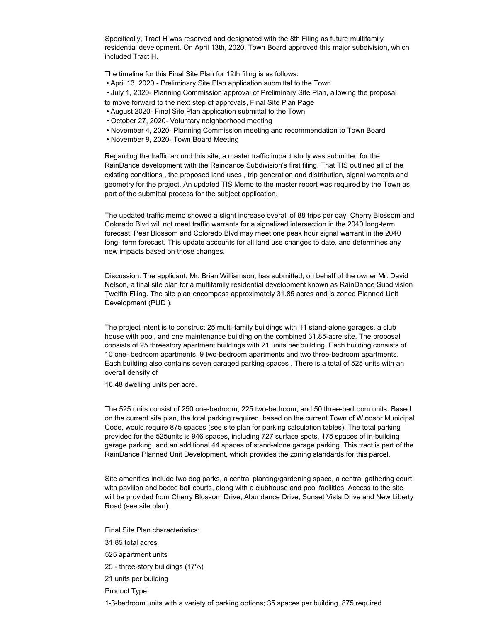Specifically, Tract H was reserved and designated with the 8th Filing as future multifamily residential development. On April 13th, 2020, Town Board approved this major subdivision, which included Tract H.

The timeline for this Final Site Plan for 12th filing is as follows:

• April 13, 2020 - Preliminary Site Plan application submittal to the Town

• July 1, 2020- Planning Commission approval of Preliminary Site Plan, allowing the proposal

- to move forward to the next step of approvals, Final Site Plan Page
- August 2020- Final Site Plan application submittal to the Town
- October 27, 2020- Voluntary neighborhood meeting
- November 4, 2020- Planning Commission meeting and recommendation to Town Board
- November 9, 2020- Town Board Meeting

Regarding the traffic around this site, a master traffic impact study was submitted for the RainDance development with the Raindance Subdivision's first filing. That TIS outlined all of the existing conditions , the proposed land uses , trip generation and distribution, signal warrants and geometry for the project. An updated TIS Memo to the master report was required by the Town as part of the submittal process for the subject application.

The updated traffic memo showed a slight increase overall of 88 trips per day. Cherry Blossom and Colorado Blvd will not meet traffic warrants for a signalized intersection in the 2040 long-term forecast. Pear Blossom and Colorado Blvd may meet one peak hour signal warrant in the 2040 long- term forecast. This update accounts for all land use changes to date, and determines any new impacts based on those changes.

Discussion: The applicant, Mr. Brian Williamson, has submitted, on behalf of the owner Mr. David Nelson, a final site plan for a multifamily residential development known as RainDance Subdivision Twelfth Filing. The site plan encompass approximately 31.85 acres and is zoned Planned Unit Development (PUD ).

The project intent is to construct 25 multi-family buildings with 11 stand-alone garages, a club house with pool, and one maintenance building on the combined 31.85-acre site. The proposal consists of 25 threestory apartment buildings with 21 units per building. Each building consists of 10 one- bedroom apartments, 9 two-bedroom apartments and two three-bedroom apartments. Each building also contains seven garaged parking spaces . There is a total of 525 units with an overall density of

16.48 dwelling units per acre.

The 525 units consist of 250 one-bedroom, 225 two-bedroom, and 50 three-bedroom units. Based on the current site plan, the total parking required, based on the current Town of Windsor Municipal Code, would require 875 spaces (see site plan for parking calculation tables). The total parking provided for the 525units is 946 spaces, including 727 surface spots, 175 spaces of in-building garage parking, and an additional 44 spaces of stand-alone garage parking. This tract is part of the RainDance Planned Unit Development, which provides the zoning standards for this parcel.

Site amenities include two dog parks, a central planting/gardening space, a central gathering court with pavilion and bocce ball courts, along with a clubhouse and pool facilities. Access to the site will be provided from Cherry Blossom Drive, Abundance Drive, Sunset Vista Drive and New Liberty Road (see site plan).

Final Site Plan characteristics:

31.85 total acres

- 525 apartment units
- 25 three-story buildings (17%)
- 21 units per building

Product Type:

1-3-bedroom units with a variety of parking options; 35 spaces per building, 875 required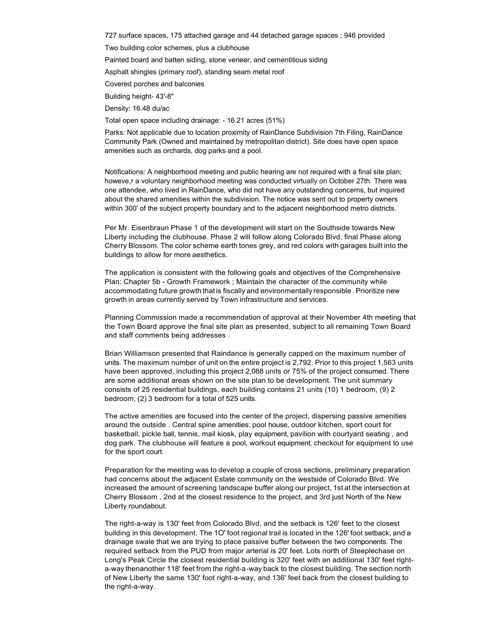727 surface spaces, 175 attached garage and 44 detached garage spaces ; 946 provided

Two building color schemes, plus a clubhouse

Painted board and batten siding, stone veneer, and cementitious siding

Asphalt shingles (primary roof), standing seam metal roof

Covered porches and balconies

Building height- 43'-8"

Density: 16.48 du/ac

Total open space including drainage: - 16.21 acres (51%)

Parks: Not applicable due to location proximity of RainDance Subdivision 7th Filing, RainDance Community Park (Owned and maintained by metropolitan district). Site does have open space amenities such as orchards, dog parks and a pool.

Notifications: A neighborhood meeting and public hearing are not required with a final site plan; howeve,r a voluntary neighborhood meeting was conducted virtually on October 27th. There was one attendee, who lived in RainDance, who did not have any outstanding concerns, but inquired about the shared amenities within the subdivision. The notice was sent out to property owners within 300' of the subject property boundary and to the adjacent neighborhood metro districts.

Per Mr. Eisenbraun Phase 1 of the development will start on the Southside towards New Liberty including the clubhouse. Phase 2 will follow along Colorado Blvd, final Phase along Cherry Blossom. The color scheme earth tones grey, and red colors with garages built into the buildings to allow for more aesthetics.

The application is consistent with the following goals and objectives of the Comprehensive Plan: Chapter 5b - Growth Framework ; Maintain the character of the community while accommodating future growth that is fiscally and environmentally responsible . Prioritize new growth in areas currently served by Town infrastructure and services.

Planning Commission made a recommendation of approval at their November 4th meeting that the Town Board approve the final site plan as presented, subject to all remaining Town Board and staff comments being addresses .

Brian Williamson presented that Raindance is generally capped on the maximum number of units. The maximum number of unit on the entire project is 2,792. Prior to this project 1,563 units have been approved, including this project 2,088 units or 75% of the project consumed. There are some additional areas shown on the site plan to be development. The unit summary consists of 25 residential buildings, each building contains 21 units (10) 1 bedroom, (9) 2 bedroom, (2) 3 bedroom for a total of 525 units.

The active amenities are focused into the center of the project, dispersing passive amenities around the outside . Central spine amenities; pool house, outdoor kitchen, sport court for basketball, pickle ball, tennis, mail kiosk, play equipment, pavilion with courtyard seating , and dog park. The clubhouse will feature a pool, workout equipment, checkout for equipment to use for the sport court.

Preparation for the meeting was to develop a couple of cross sections, preliminary preparation had concerns about the adjacent Estate community on the westside of Colorado Blvd. We increased the amount of screening landscape buffer along our project, 1st at the intersection at Cherry Blossom , 2nd at the closest residence to the project, and 3rd just North of the New Liberty roundabout.

The right-a-way is 130' feet from Colorado Blvd, and the setback is 126' feet to the closest building in this development. The 1O' foot regional trail is located in the 126' foot setback, and a drainage swale that we are trying to place passive buffer between the two components. The required setback from the PUD from major arterial is 20' feet. Lots north of Steeplechase on Long's Peak Circle the closest residential building is 320' feet with an additional 130' feet righta-way thenanother 118' feet from the right-a-way back to the closest building. The section north of New Liberty the same 130' foot right-a-way, and 136' feet back from the closest building to the right-a-way.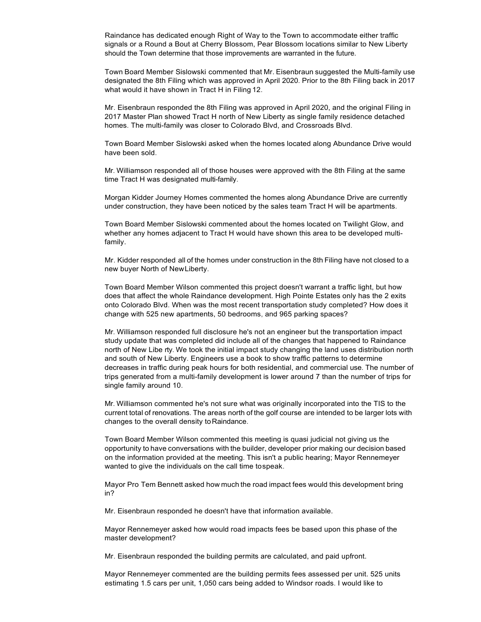Raindance has dedicated enough Right of Way to the Town to accommodate either traffic signals or a Round a Bout at Cherry Blossom, Pear Blossom locations similar to New Liberty should the Town determine that those improvements are warranted in the future.

Town Board Member Sislowski commented that Mr. Eisenbraun suggested the Multi-family use designated the 8th Filing which was approved in April 2020. Prior to the 8th Filing back in 2017 what would it have shown in Tract H in Filing 12.

Mr. Eisenbraun responded the 8th Filing was approved in April 2020, and the original Filing in 2017 Master Plan showed Tract H north of New Liberty as single family residence detached homes. The multi-family was closer to Colorado Blvd, and Crossroads Blvd.

Town Board Member Sislowski asked when the homes located along Abundance Drive would have been sold.

Mr. Williamson responded all of those houses were approved with the 8th Filing at the same time Tract H was designated multi-family.

Morgan Kidder Journey Homes commented the homes along Abundance Drive are currently under construction, they have been noticed by the sales team Tract H will be apartments.

Town Board Member Sislowski commented about the homes located on Twilight Glow, and whether any homes adjacent to Tract H would have shown this area to be developed multifamily.

Mr. Kidder responded all of the homes under construction in the 8th Filing have not closed to a new buyer North of NewLiberty.

Town Board Member Wilson commented this project doesn't warrant a traffic light, but how does that affect the whole Raindance development. High Pointe Estates only has the 2 exits onto Colorado Blvd. When was the most recent transportation study completed? How does it change with 525 new apartments, 50 bedrooms, and 965 parking spaces?

Mr. Williamson responded full disclosure he's not an engineer but the transportation impact study update that was completed did include all of the changes that happened to Raindance north of New Libe rty. We took the initial impact study changing the land uses distribution north and south of New Liberty. Engineers use a book to show traffic patterns to determine decreases in traffic during peak hours for both residential, and commercial use. The number of trips generated from a multi-family development is lower around 7 than the number of trips for single family around 10.

Mr. Williamson commented he's not sure what was originally incorporated into the TIS to the current total of renovations. The areas north of the golf course are intended to be larger lots with changes to the overall density to Raindance.

Town Board Member Wilson commented this meeting is quasi judicial not giving us the opportunity to have conversations with the builder, developer prior making our decision based on the information provided at the meeting. This isn't a public hearing; Mayor Rennemeyer wanted to give the individuals on the call time tospeak.

Mayor Pro Tem Bennett asked how much the road impact fees would this development bring in?

Mr. Eisenbraun responded he doesn't have that information available.

Mayor Rennemeyer asked how would road impacts fees be based upon this phase of the master development?

Mr. Eisenbraun responded the building permits are calculated, and paid upfront.

Mayor Rennemeyer commented are the building permits fees assessed per unit. 525 units estimating 1.5 cars per unit, 1,050 cars being added to Windsor roads. I would like to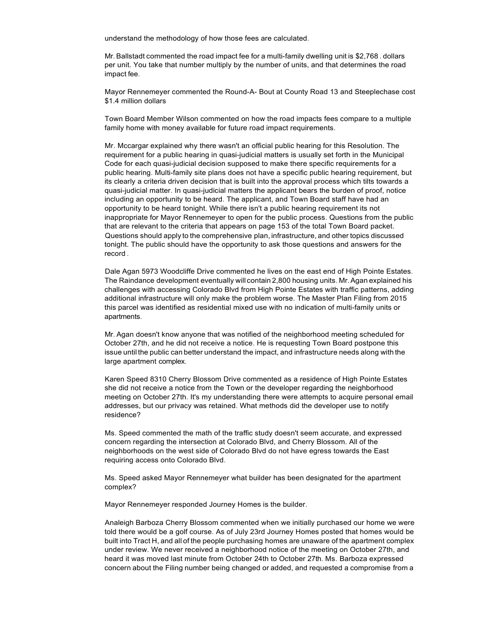understand the methodology of how those fees are calculated.

Mr. Ballstadt commented the road impact fee for a multi-family dwelling unit is \$2,768 . dollars per unit. You take that number multiply by the number of units, and that determines the road impact fee.

Mayor Rennemeyer commented the Round-A- Bout at County Road 13 and Steeplechase cost \$1.4 million dollars

Town Board Member Wilson commented on how the road impacts fees compare to a multiple family home with money available for future road impact requirements.

Mr. Mccargar explained why there wasn't an official public hearing for this Resolution. The requirement for a public hearing in quasi-judicial matters is usually set forth in the Municipal Code for each quasi-judicial decision supposed to make there specific requirements for a public hearing. Multi-family site plans does not have a specific public hearing requirement, but its clearly a criteria driven decision that is built into the approval process which tilts towards a quasi-judicial matter. In quasi-judicial matters the applicant bears the burden of proof, notice including an opportunity to be heard. The applicant, and Town Board staff have had an opportunity to be heard tonight. While there isn't a public hearing requirement its not inappropriate for Mayor Rennemeyer to open for the public process. Questions from the public that are relevant to the criteria that appears on page 153 of the total Town Board packet. Questions should apply to the comprehensive plan, infrastructure, and other topics discussed tonight. The public should have the opportunity to ask those questions and answers for the record .

Dale Agan 5973 Woodcliffe Drive commented he lives on the east end of High Pointe Estates. The Raindance development eventually will contain 2,800 housing units. Mr. Agan explained his challenges with accessing Colorado Blvd from High Pointe Estates with traffic patterns, adding additional infrastructure will only make the problem worse. The Master Plan Filing from 2015 this parcel was identified as residential mixed use with no indication of multi-family units or apartments.

Mr. Agan doesn't know anyone that was notified of the neighborhood meeting scheduled for October 27th, and he did not receive a notice. He is requesting Town Board postpone this issue until the public can better understand the impact, and infrastructure needs along with the large apartment complex.

Karen Speed 8310 Cherry Blossom Drive commented as a residence of High Pointe Estates she did not receive a notice from the Town or the developer regarding the neighborhood meeting on October 27th. It's my understanding there were attempts to acquire personal email addresses, but our privacy was retained. What methods did the developer use to notify residence?

Ms. Speed commented the math of the traffic study doesn't seem accurate, and expressed concern regarding the intersection at Colorado Blvd, and Cherry Blossom. All of the neighborhoods on the west side of Colorado Blvd do not have egress towards the East requiring access onto Colorado Blvd.

Ms. Speed asked Mayor Rennemeyer what builder has been designated for the apartment complex?

Mayor Rennemeyer responded Journey Homes is the builder.

Analeigh Barboza Cherry Blossom commented when we initially purchased our home we were told there would be a golf course. As of July 23rd Journey Homes posted that homes would be built into Tract H, and all of the people purchasing homes are unaware of the apartment complex under review. We never received a neighborhood notice of the meeting on October 27th, and heard it was moved last minute from October 24th to October 27th. Ms. Barboza expressed concern about the Filing number being changed or added, and requested a compromise from a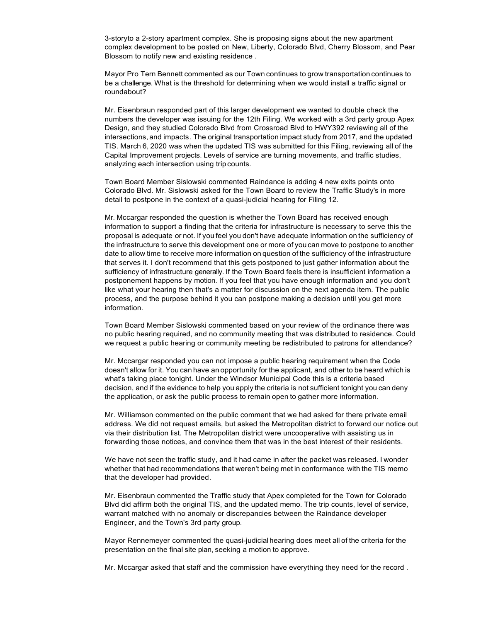3-storyto a 2-story apartment complex. She is proposing signs about the new apartment complex development to be posted on New, Liberty, Colorado Blvd, Cherry Blossom, and Pear Blossom to notify new and existing residence .

Mayor Pro Tern Bennett commented as our Town continues to grow transportation continues to be a challenge. What is the threshold for determining when we would install a traffic signal or roundabout?

Mr. Eisenbraun responded part of this larger development we wanted to double check the numbers the developer was issuing for the 12th Filing. We worked with a 3rd party group Apex Design, and they studied Colorado Blvd from Crossroad Blvd to HWY392 reviewing all of the intersections, and impacts. The original transportation impact study from 2017, and the updated TIS. March 6, 2020 was when the updated TIS was submitted for this Filing, reviewing all of the Capital Improvement projects. Levels of service are turning movements, and traffic studies, analyzing each intersection using trip counts.

Town Board Member Sislowski commented Raindance is adding 4 new exits points onto Colorado Blvd. Mr. Sislowski asked for the Town Board to review the Traffic Study's in more detail to postpone in the context of a quasi-judicial hearing for Filing 12.

Mr. Mccargar responded the question is whether the Town Board has received enough information to support a finding that the criteria for infrastructure is necessary to serve this the proposal is adequate or not. If you feel you don't have adequate information on the sufficiency of the infrastructure to serve this development one or more of you can move to postpone to another date to allow time to receive more information on question of the sufficiency of the infrastructure that serves it. I don't recommend that this gets postponed to just gather information about the sufficiency of infrastructure generally. If the Town Board feels there is insufficient information a postponement happens by motion. If you feel that you have enough information and you don't like what your hearing then that's a matter for discussion on the next agenda item. The public process, and the purpose behind it you can postpone making a decision until you get more information.

Town Board Member Sislowski commented based on your review of the ordinance there was no public hearing required, and no community meeting that was distributed to residence. Could we request a public hearing or community meeting be redistributed to patrons for attendance?

Mr. Mccargar responded you can not impose a public hearing requirement when the Code doesn't allow for it. You can have an opportunity for the applicant, and other to be heard which is what's taking place tonight. Under the Windsor Municipal Code this is a criteria based decision, and if the evidence to help you apply the criteria is not sufficient tonight you can deny the application, or ask the public process to remain open to gather more information.

Mr. Williamson commented on the public comment that we had asked for there private email address. We did not request emails, but asked the Metropolitan district to forward our notice out via their distribution list. The Metropolitan district were uncooperative with assisting us in forwarding those notices, and convince them that was in the best interest of their residents.

We have not seen the traffic study, and it had came in after the packet was released. I wonder whether that had recommendations that weren't being met in conformance with the TIS memo that the developer had provided.

Mr. Eisenbraun commented the Traffic study that Apex completed for the Town for Colorado Blvd did affirm both the original TIS, and the updated memo. The trip counts, level of service, warrant matched with no anomaly or discrepancies between the Raindance developer Engineer, and the Town's 3rd party group.

Mayor Rennemeyer commented the quasi-judicial hearing does meet all of the criteria for the presentation on the final site plan, seeking a motion to approve.

Mr. Mccargar asked that staff and the commission have everything they need for the record .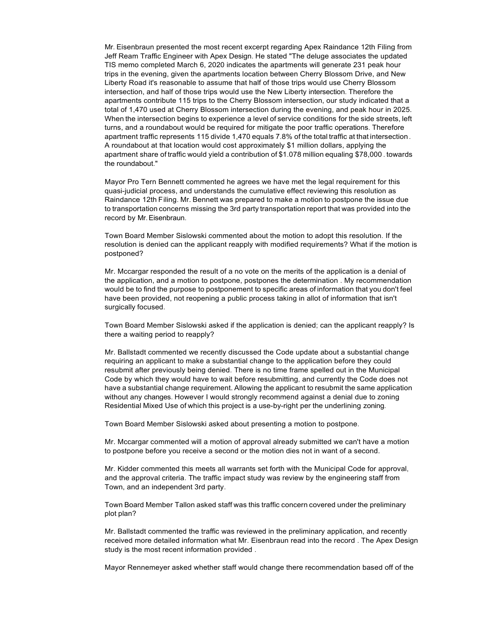Mr. Eisenbraun presented the most recent excerpt regarding Apex Raindance 12th Filing from Jeff Ream Traffic Engineer with Apex Design. He stated "The deluge associates the updated TIS memo completed March 6, 2020 indicates the apartments will generate 231 peak hour trips in the evening, given the apartments location between Cherry Blossom Drive, and New Liberty Road it's reasonable to assume that half of those trips would use Cherry Blossom intersection, and half of those trips would use the New Liberty intersection. Therefore the apartments contribute 115 trips to the Cherry Blossom intersection, our study indicated that a total of 1,470 used at Cherry Blossom intersection during the evening, and peak hour in 2025. When the intersection begins to experience a level of service conditions for the side streets, left turns, and a roundabout would be required for mitigate the poor traffic operations. Therefore apartment traffic represents 115 divide 1,470 equals 7.8% of the total traffic at that intersection. A roundabout at that location would cost approximately \$1 million dollars, applying the apartment share of traffic would yield a contribution of \$1.078 million equaling \$78,000 . towards the roundabout."

Mayor Pro Tern Bennett commented he agrees we have met the legal requirement for this quasi-judicial process, and understands the cumulative effect reviewing this resolution as Raindance 12th Filing. Mr. Bennett was prepared to make a motion to postpone the issue due to transportation concerns missing the 3rd party transportation report that was provided into the record by Mr. Eisenbraun.

Town Board Member Sislowski commented about the motion to adopt this resolution. If the resolution is denied can the applicant reapply with modified requirements? What if the motion is postponed?

Mr. Mccargar responded the result of a no vote on the merits of the application is a denial of the application, and a motion to postpone, postpones the determination . My recommendation would be to find the purpose to postponement to specific areas of information that you don't feel have been provided, not reopening a public process taking in allot of information that isn't surgically focused.

Town Board Member Sislowski asked if the application is denied; can the applicant reapply? Is there a waiting period to reapply?

Mr. Ballstadt commented we recently discussed the Code update about a substantial change requiring an applicant to make a substantial change to the application before they could resubmit after previously being denied. There is no time frame spelled out in the Municipal Code by which they would have to wait before resubmitting, and currently the Code does not have a substantial change requirement. Allowing the applicant to resubmit the same application without any changes. However I would strongly recommend against a denial due to zoning Residential Mixed Use of which this project is a use-by-right per the underlining zoning.

Town Board Member Sislowski asked about presenting a motion to postpone.

Mr. Mccargar commented will a motion of approval already submitted we can't have a motion to postpone before you receive a second or the motion dies not in want of a second.

Mr. Kidder commented this meets all warrants set forth with the Municipal Code for approval, and the approval criteria. The traffic impact study was review by the engineering staff from Town, and an independent 3rd party.

Town Board Member Tallon asked staff was this traffic concern covered under the preliminary plot plan?

Mr. Ballstadt commented the traffic was reviewed in the preliminary application, and recently received more detailed information what Mr. Eisenbraun read into the record . The Apex Design study is the most recent information provided .

Mayor Rennemeyer asked whether staff would change there recommendation based off of the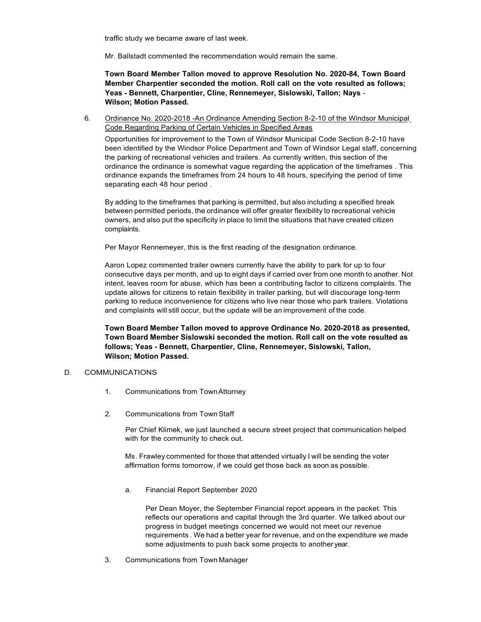traffic study we became aware of last week.

Mr. Ballstadt commented the recommendation would remain the same.

**Town Board Member Tallon moved to approve Resolution No. 2020-84, Town Board Member Charpentier seconded the motion. Roll call on the vote resulted as follows; Yeas - Bennett, Charpentier, Cline, Rennemeyer, Sislowski, Tallon; Nays** - **Wilson; Motion Passed.**

6. Ordinance No. 2020-2018 -An Ordinance Amending Section 8-2-10 of the Windsor Municipal Code Regarding Parking of Certain Vehicles in Specified Areas

Opportunities for improvement to the Town of Windsor Municipal Code Section 8-2-10 have been identified by the Windsor Police Department and Town of Windsor Legal staff, concerning the parking of recreational vehicles and trailers. As currently written, this section of the ordinance the ordinance is somewhat vague regarding the application of the timeframes . This ordinance expands the timeframes from 24 hours to 48 hours, specifying the period of time separating each 48 hour period .

By adding to the timeframes that parking is permitted, but also including a specified break between permitted periods, the ordinance will offer greater flexibility to recreational vehicle owners, and also put the specificity in place to limit the situations that have created citizen complaints.

Per Mayor Rennemeyer, this is the first reading of the designation ordinance.

Aaron Lopez commented trailer owners currently have the ability to park for up to four consecutive days per month, and up to eight days if carried over from one month to another. Not intent, leaves room for abuse, which has been a contributing factor to citizens complaints. The update allows for citizens to retain flexibility in trailer parking, but will discourage long-term parking to reduce inconvenience for citizens who live near those who park trailers. Violations and complaints will still occur, but the update will be an improvement of the code.

**Town Board Member Tallon moved to approve Ordinance No. 2020-2018 as presented, Town Board Member Sislowski seconded the motion. Roll call on the vote resulted as follows; Yeas - Bennett, Charpentier, Cline, Rennemeyer, Sislowski, Tallon, Wilson; Motion Passed.**

## D. COMMUNICATIONS

- 1. Communications from TownAttorney
- 2. Communications from TownStaff

Per Chief Klimek, we just launched a secure street project that communication helped with for the community to check out.

Ms. Frawley commented for those that attended virtually I will be sending the voter affirmation forms tomorrow, if we could get those back as soon as possible.

a. Financial Report September 2020

Per Dean Moyer, the September Financial report appears in the packet. This reflects our operations and capital through the 3rd quarter. We talked about our progress in budget meetings concerned we would not meet our revenue requirements . We had a better year for revenue, and on the expenditure we made some adjustments to push back some projects to another year.

3. Communications from Town Manager